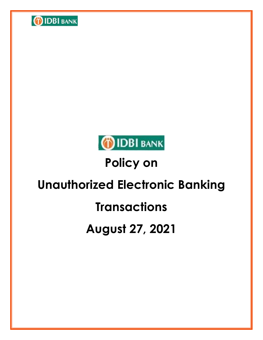



# **Policy on**

# **Unauthorized Electronic Banking**

# **Transactions**

# **August 27, 2021**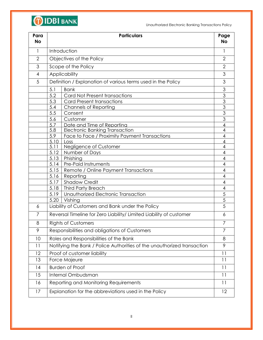

| Para<br><b>No</b> | <b>Particulars</b>                                                      | Page<br><b>No</b>        |
|-------------------|-------------------------------------------------------------------------|--------------------------|
| $\mathbf{1}$      | Introduction                                                            | 1                        |
| $\overline{2}$    | Objectives of the Policy                                                | $\overline{2}$           |
| 3                 | Scope of the Policy                                                     | $\overline{2}$           |
| 4                 | Applicability                                                           | 3                        |
| 5                 | Definition / Explanation of various terms used in the Policy            | 3                        |
|                   | 5.1<br><b>Bank</b>                                                      | 3                        |
|                   | 5.2<br>Card Not Present transactions                                    | 3                        |
|                   | 5.3<br><b>Card Present transactions</b>                                 | $\overline{3}$           |
|                   | 5.4<br><b>Channels of Reporting</b>                                     | $\overline{3}$           |
|                   | 5.5<br>Consent                                                          | $\overline{3}$           |
|                   | 5.6<br>Customer                                                         | $\overline{3}$           |
|                   | 5.7<br>Date and Time of Reportina                                       | 4                        |
|                   | 5.8<br><b>Electronic Banking Transaction</b>                            | 4                        |
|                   | 5.9<br>Face to Face / Proximity Payment Transactions                    | 4                        |
|                   | 5.10<br>Loss<br>5.11<br>Negligence of Customer                          | 4<br>4                   |
|                   | 5.12<br>Number of Days                                                  | 4                        |
|                   | Phishing<br>5.13                                                        | 4                        |
|                   | Pre-Paid Instruments<br>5.14                                            | 4                        |
|                   | 5.15<br>Remote / Online Payment Transactions                            | $\overline{4}$           |
|                   | Reporting<br>5.16                                                       | 4                        |
|                   | <b>Shadow Credit</b><br>5.17                                            | 4                        |
|                   | 5.18<br><b>Third Party Breach</b>                                       | $\overline{\mathcal{A}}$ |
|                   | Unauthorized Electronic Transaction<br>5.19                             | 5                        |
|                   | 5.20<br>Vishing                                                         | $\overline{5}$           |
| 6                 | Liability of Customers and Bank under the Policy                        | 5                        |
| $\overline{7}$    | Reversal Timeline for Zero Liability/ Limited Liability of customer     | 6                        |
| 8                 | <b>Rights of Customers</b>                                              | 7                        |
| 9                 | Responsibilities and obligations of Customers                           | $\overline{7}$           |
| 10                | Roles and Responsibilities of the Bank                                  | 8                        |
| 11                | Notifying the Bank / Police Authorities of the unauthorized transaction | 9                        |
| 12                | Proof of customer liability                                             | 11                       |
| 13                | Force Majeure                                                           | 11                       |
| 4                 | <b>Burden of Proof</b>                                                  | 11                       |
| 15                | Internal Ombudsman                                                      | 11                       |
| 16                | Reporting and Monitoring Requirements                                   | 11                       |
| 17                | Explanation for the abbreviations used in the Policy                    | 12                       |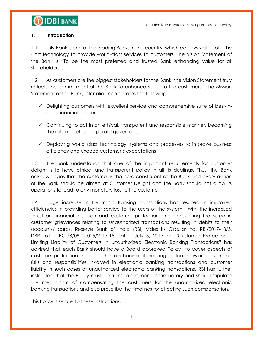#### **1. Introduction**

1.1 IDBI Bank is one of the leading Banks in the country, which deploys state - of – the - art technology to provide world-class services to customers. The Vision Statement of the Bank is "To be the most preferred and trusted Bank enhancing value for all stakeholders".

1.2 As customers are the biggest stakeholders for the Bank, the Vision Statement truly reflects the commitment of the Bank to enhance value to the customers. The Mission Statement of the Bank, inter alia, incorporates the following:

- $\checkmark$  Delighting customers with excellent service and comprehensive suite of best-inclass financial solutions
- Continuing to act in an ethical, transparent and responsible manner, becoming the role model for corporate governance
- $\checkmark$  Deploying world class technology, systems and processes to improve business efficiency and exceed customer"s expectations

1.3 The Bank understands that one of the important requirements for customer delight is to have ethical and transparent policy in all its dealings. Thus, the Bank acknowledges that the customer is the core constituent of the Bank and every action of the Bank should be aimed at Customer Delight and the Bank should not allow its operations to lead to any monetary loss to the customer.

1.4 Huge increase in Electronic Banking transactions has resulted in improved efficiencies in providing better service to the users of the system. With the increased thrust on financial inclusion and customer protection and considering the surge in customer grievances relating to unauthorized transactions resulting in debits to their accounts/ cards, Reserve Bank of India (RBI) vides its Circular no. RBI/2017-18/5, DBR.No.Leg.BC.78/09.07.005/2017-18 dated July 6, 2017 on "Customer Protection – Limiting Liability of Customers in Unauthorized Electronic Banking Transactions" has advised that each Bank should have a Board approved Policy to cover aspects of customer protection, including the mechanism of creating customer awareness on the risks and responsibilities involved in electronic banking transactions and customer liability in such cases of unauthorized electronic banking transactions. RBI has further instructed that the Policy must be transparent, non-discriminatory and should stipulate the mechanism of compensating the customers for the unauthorized electronic banking transactions and also prescribe the timelines for effecting such compensation.

This Policy is sequel to these instructions.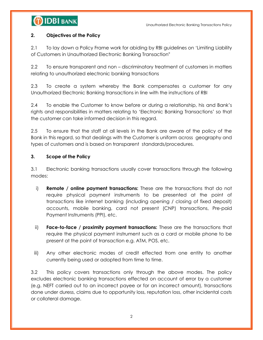#### **2. Objectives of the Policy**

2.1 To lay down a Policy Frame work for abiding by RBI guidelines on "Limiting Liability of Customers in Unauthorized Electronic Banking Transaction"

2.2 To ensure transparent and non – discriminatory treatment of customers in matters relating to unauthorized electronic banking transactions

2.3 To create a system whereby the Bank compensates a customer for any Unauthorized Electronic Banking transactions in line with the instructions of RBI

2.4 To enable the Customer to know before or during a relationship, his and Bank"s rights and responsibilities in matters relating to "Electronic Banking Transactions" so that the customer can take informed decision in this regard.

2.5 To ensure that the staff at all levels in the Bank are aware of the policy of the Bank in this regard, so that dealings with the Customer is uniform across geography and types of customers and is based on transparent standards/procedures.

#### **3. Scope of the Policy**

3.1 Electronic banking transactions usually cover transactions through the following modes:

- i) **Remote / online payment transactions:** These are the transactions that do not require physical payment instruments to be presented at the point of transactions like internet banking (including opening / closing of fixed deposit) accounts, mobile banking, card not present (CNP) transactions, Pre-paid Payment Instruments (PPI), etc.
- ii) **Face-to-face / proximity payment transactions:** These are the transactions that require the physical payment instrument such as a card or mobile phone to be present at the point of transaction e.g. ATM, POS, etc.
- iii) Any other electronic modes of credit effected from one entity to another currently being used or adopted from time to time.

3.2 This policy covers transactions only through the above modes. The policy excludes electronic banking transactions effected on account of error by a customer (e.g. NEFT carried out to an incorrect payee or for an incorrect amount), transactions done under duress, claims due to opportunity loss, reputation loss, other incidental costs or collateral damage.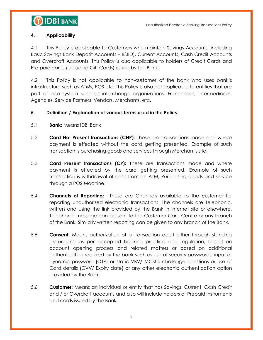### **4. Applicability**

4.1 This Policy is applicable to Customers who maintain Savings Accounts (including Basic Savings Bank Deposit Accounts – BSBD), Current Accounts, Cash Credit Accounts and Overdraft Accounts. This Policy is also applicable to holders of Credit Cards and Pre-paid cards (including Gift Cards) issued by the Bank.

4.2 This Policy is not applicable to non-customer of the bank who uses bank"s infrastructure such as ATMs, POS etc. This Policy is also not applicable to entities that are part of eco system such as interchange organizations, Franchisees, Intermediaries, Agencies, Service Partners, Vendors, Merchants, etc.

### **5. Definition / Explanation of various terms used in the Policy**

- 5.1 **Bank:** Means IDBI Bank
- 5.2 **Card Not Present transactions (CNP):** These are transactions made and where payment is effected without the card getting presented. Example of such transaction is purchasing goods and services through Merchant's site.
- 5.3 **Card Present transactions (CP):** These are transactions made and where payment is effected by the card getting presented. Example of such transaction is withdrawal of cash from an ATM, Purchasing goods and service through a POS Machine.
- 5.4 **Channels of Reporting:** These are Channels available to the customer for reporting unauthorized electronic transactions. The channels are Telephonic, written and using the link provided by the Bank in internet site or elsewhere. Telephonic message can be sent to the Customer Care Centre or any branch of the Bank. Similarly written reporting can be given to any branch of the Bank.
- 5.5 **Consent:** Means authorization of a transaction debit either through standing instructions, as per accepted banking practice and regulation, based on account opening process and related matters or based on additional authentication required by the bank such as use of security passwords, input of dynamic password (OTP) or static VBV/ MCSC, challenge questions or use of Card details (CVV/ Expiry date) or any other electronic authentication option provided by the Bank.
- 5.6 **Customer:** Means an individual or entity that has Savings, Current, Cash Credit and / or Overdraft accounts and also will include holders of Prepaid instruments and cards issued by the Bank.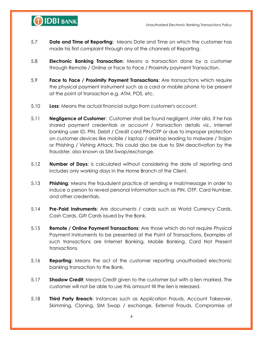

- 5.7 **Date and Time of Reporting:** Means Date and Time on which the customer has made his first complaint through any of the channels of Reporting.
- 5.8 **Electronic Banking Transaction**: Means a transaction done by a customer through Remote / Online or Face to Face / Proximity payment Transaction.
- 5.9 **Face to Face / Proximity Payment Transactions**: Are transactions which require the physical payment instrument such as a card or mobile phone to be present at the point of transaction e.g. ATM, POS, etc.
- 5.10 **Loss**: Means the actual financial outgo from customer's account.
- 5.11 **Negligence of Customer**: Customer shall be found negligent, *inter alia,* if he has shared payment credentials or account / transaction details viz., Internet banking user ID, PIN, Debit / Credit card PIN/OTP or due to improper protection on customer devices like mobile / laptop / desktop leading to malware / Trojan or Phishing / Vishing Attack. This could also be due to SIM deactivation by the fraudster, also known as SIM Swap/exchange.
- 5.12 **Number of Days**: is calculated without considering the date of reporting and includes only working days in the Home Branch of the Client.
- 5.13 **Phishing**: Means the fraudulent practice of sending e mail/message in order to induce a person to reveal personal information such as PIN, OTP, Card Number, and other credentials.
- 5.14 **Pre-Paid Instruments**: Are documents / cards such as World Currency Cards, Cash Cards, Gift Cards issued by the Bank.
- 5.15 **Remote / Online Payment Transactions**: Are those which do not require Physical Payment Instruments to be presented at the Point of Transactions. Examples of such transactions are Internet Banking, Mobile Banking, Card Not Present transactions.
- 5.16 **Reporting**: Means the act of the customer reporting unauthorized electronic banking transaction to the Bank.
- 5.17 **Shadow Credit**: Means Credit given to the customer but with a lien marked. The customer will not be able to use this amount till the lien is released.
- 5.18 **Third Party Breach**: Instances such as Application Frauds, Account Takeover, Skimming, Cloning, SIM Swap / exchange, External Frauds, Compromise of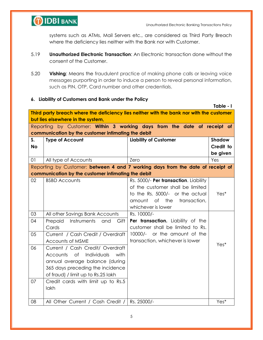

**Table - I**

systems such as ATMs, Mail Servers etc., are considered as Third Party Breach where the deficiency lies neither with the Bank nor with Customer.

- 5.19 **Unauthorized Electronic Transaction**: An Electronic transaction done without the consent of the Customer.
- 5.20 **Vishing**: Means the fraudulent practice of making phone calls or leaving voice messages purporting in order to induce a person to reveal personal information, such as PIN, OTP, Card number and other credentials.

#### **6. Liability of Customers and Bank under the Policy**

|                                                                                          |                                                                                 |                                       | <u> 1901e - 1</u> |  |
|------------------------------------------------------------------------------------------|---------------------------------------------------------------------------------|---------------------------------------|-------------------|--|
| Third party breach where the deficiency lies neither with the bank nor with the customer |                                                                                 |                                       |                   |  |
| but lies elsewhere in the system,                                                        |                                                                                 |                                       |                   |  |
| Reporting by Customer: Within 3 working days from the date of receipt of                 |                                                                                 |                                       |                   |  |
|                                                                                          | communication by the customer intimating the debit                              |                                       |                   |  |
| S.                                                                                       | <b>Type of Account</b>                                                          | <b>Liability of Customer</b>          | <b>Shadow</b>     |  |
| <b>No</b>                                                                                |                                                                                 |                                       | Credit to         |  |
|                                                                                          |                                                                                 |                                       | be given          |  |
| 01                                                                                       | All type of Accounts                                                            | Zero                                  | Yes               |  |
|                                                                                          | Reporting by Customer: between 4 and 7 working days from the date of receipt of |                                       |                   |  |
|                                                                                          | communication by the customer intimating the debit                              |                                       |                   |  |
| 02                                                                                       | <b>BSBD Accounts</b>                                                            | Rs. 5000/- Per transaction. Liability |                   |  |
|                                                                                          |                                                                                 | of the customer shall be limited      |                   |  |
|                                                                                          |                                                                                 | to the Rs. 5000/- or the actual       | Yes*              |  |
|                                                                                          |                                                                                 | of<br>the<br>amount<br>transaction,   |                   |  |
|                                                                                          |                                                                                 | whichever is lower                    |                   |  |
| 03                                                                                       | All other Savings Bank Accounts                                                 | Rs. 10000/-                           |                   |  |
| 04                                                                                       | Prepaid<br>Instruments<br>and<br>Gift                                           | Per transaction. Liability of the     |                   |  |
|                                                                                          | Cards                                                                           | customer shall be limited to Rs.      |                   |  |
| 05                                                                                       | Current / Cash Credit / Overdraft                                               | or the amount of the<br>$10000/-$     |                   |  |
|                                                                                          | Accounts of MSME                                                                | transaction, whichever is lower       |                   |  |
| 06                                                                                       | Current / Cash Credit/ Overdraft                                                |                                       | Yes*              |  |
|                                                                                          | Accounts of<br>Individuals<br>with                                              |                                       |                   |  |
|                                                                                          | annual average balance (during                                                  |                                       |                   |  |
|                                                                                          | 365 days preceding the incidence                                                |                                       |                   |  |
|                                                                                          | of fraud) / limit up to Rs.25 lakh                                              |                                       |                   |  |
| 07                                                                                       | Credit cards with limit up to Rs.5                                              |                                       |                   |  |
|                                                                                          | lakh                                                                            |                                       |                   |  |
|                                                                                          |                                                                                 |                                       |                   |  |
| 08                                                                                       | All Other Current / Cash Credit /                                               | Rs. 25000/-                           | Yes*              |  |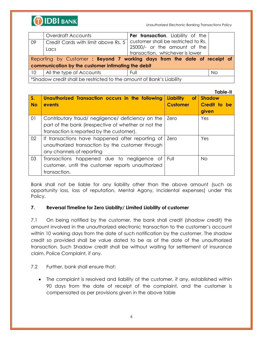

| 09                                                                   | Overdraft Accounts<br>Credit Cards with limit above Rs. 5<br>Lacs        | <b>Per transaction.</b> Liability of the<br>customer shall be restricted to Rs.<br>25000/- or the amount of the<br>transaction, whichever is lower |           |
|----------------------------------------------------------------------|--------------------------------------------------------------------------|----------------------------------------------------------------------------------------------------------------------------------------------------|-----------|
|                                                                      | Reporting by Customer: Beyond 7 working days from the date of receipt of |                                                                                                                                                    |           |
|                                                                      | communication by the customer intimating the debit                       |                                                                                                                                                    |           |
| 10 <sup>°</sup>                                                      | All the type of Accounts                                                 | Full                                                                                                                                               | <b>No</b> |
| *Shadow credit shall be restricted to the amount of Bank's Liability |                                                                          |                                                                                                                                                    |           |

|           |                                                      |                               | Table-II      |
|-----------|------------------------------------------------------|-------------------------------|---------------|
| $S_{1}$   | Unauthorized Transaction occurs in the following     | <b>Liability</b><br><b>of</b> | <b>Shadow</b> |
| <b>No</b> | events                                               | <b>Customer</b>               | Credit to be  |
|           |                                                      |                               | given         |
| 01        | Contributory fraud/ negligence/ deficiency on the    | Zero                          | Yes           |
|           | part of the bank (irrespective of whether or not the |                               |               |
|           | transaction is reported by the customer).            |                               |               |
| 02        | If transactions have happened after reporting of     | Zero                          | Yes           |
|           | unauthorized transaction by the customer through     |                               |               |
|           | any channels of reporting                            |                               |               |
| 03        | Transactions happened due to negligence of           | Full                          | No.           |
|           | customer, until the customer reports unauthorized    |                               |               |
|           | transaction.                                         |                               |               |

Bank shall not be liable for any liability other than the above amount (such as opportunity loss, loss of reputation, Mental Agony, Incidental expenses) under this Policy.

#### **7. Reversal Timeline for Zero Liability/ Limited Liability of customer**

7.1 On being notified by the customer, the bank shall credit (shadow credit) the amount involved in the unauthorized electronic transaction to the customer"s account within 10 working days from the date of such notification by the customer. The shadow credit so provided shall be value dated to be as of the date of the unauthorized transaction. Such Shadow credit shall be without waiting for settlement of insurance claim, Police Complaint, if any.

#### 7.2 Further, bank shall ensure that:

 The complaint is resolved and liability of the customer, if any, established within 90 days from the date of receipt of the complaint, and the customer is compensated as per provisions given in the above table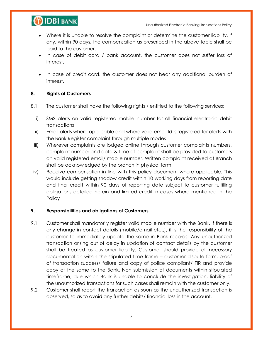

- Where it is unable to resolve the complaint or determine the customer liability, if any, within 90 days, the compensation as prescribed in the above table shall be paid to the customer.
- In case of debit card / bank account, the customer does not suffer loss of interest,
- In case of credit card, the customer does not bear any additional burden of interest.

#### **8. Rights of Customers**

- 8.1 The customer shall have the following rights / entitled to the following services:
	- i) SMS alerts on valid registered mobile number for all financial electronic debit transactions
	- ii) Email alerts where applicable and where valid email Id is registered for alerts with the Bank Register complaint through multiple modes
	- iii) Wherever complaints are lodged online through customer complaints numbers, complaint number and date & time of complaint shall be provided to customers on valid registered email/ mobile number. Written complaint received at Branch shall be acknowledged by the branch in physical form.
- iv) Receive compensation in line with this policy document where applicable. This would include getting shadow credit within 10 working days from reporting date and final credit within 90 days of reporting date subject to customer fulfilling obligations detailed herein and limited credit in cases where mentioned in the **Policy**

#### **9. Responsibilities and obligations of Customers**

- 9.1 Customer shall mandatorily register valid mobile number with the Bank. If there is any change in contact details (mobile/email etc.,), it is the responsibility of the customer to immediately update the same in Bank records. Any unauthorized transaction arising out of delay in updation of contact details by the customer shall be treated as customer liability. Customer should provide all necessary documentation within the stipulated time frame – customer dispute form, proof of transaction success/ failure and copy of police compliant/ FIR and provide copy of the same to the Bank. Non submission of documents within stipulated timeframe, due which Bank is unable to conclude the investigation, liability of the unauthorized transactions for such cases shall remain with the customer only.
- 9.2 Customer shall report the transaction as soon as the unauthorized transaction is observed, so as to avoid any further debits/ financial loss in the account.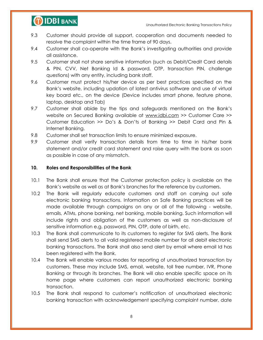

- 9.3 Customer should provide all support, cooperation and documents needed to resolve the complaint within the time frame of 90 days.
- 9.4 Customer shall co-operate with the Bank"s investigating authorities and provide all assistance.
- 9.5 Customer shall not share sensitive information (such as Debit/Credit Card details & PIN, CVV, Net Banking Id & password, OTP, transaction PIN, challenge questions) with any entity, including bank staff.
- 9.6 Customer must protect his/her device as per best practices specified on the Bank"s website, including updation of latest antivirus software and use of virtual key board etc., on the device (Device includes smart phone, feature phone, laptop, desktop and Tab)
- 9.7 Customer shall abide by the tips and safeguards mentioned on the Bank"s website on Secured Banking available at [www.idbi.com](http://www.idbi.com/) >> Customer Care >> Customer Education >> Do"s & Don"ts of Banking >> Debit Card and Pin & Internet Banking.
- 9.8 Customer shall set transaction limits to ensure minimized exposure.
- 9.9 Customer shall verify transaction details from time to time in his/her bank statement and/or credit card statement and raise query with the bank as soon as possible in case of any mismatch.

#### **10. Roles and Responsibilities of the Bank**

- 10.1 The Bank shall ensure that the Customer protection policy is available on the Bank"s website as well as at Bank"s branches for the reference by customers.
- 10.2 The Bank will regularly educate customers and staff on carrying out safe electronic banking transactions. Information on Safe Banking practices will be made available through campaigns on any or all of the following - website, emails, ATMs, phone banking, net banking, mobile banking. Such information will include rights and obligation of the customers as well as non-disclosure of sensitive information e.g. password, PIN, OTP, date of birth, etc.
- 10.3 The Bank shall communicate to its customers to register for SMS alerts. The Bank shall send SMS alerts to all valid registered mobile number for all debit electronic banking transactions. The Bank shall also send alert by email where email Id has been registered with the Bank.
- 10.4 The Bank will enable various modes for reporting of unauthorized transaction by customers. These may include SMS, email, website, toll free number, IVR, Phone Banking or through its branches. The Bank will also enable specific space on its home page where customers can report unauthorized electronic banking transaction.
- 10.5 The Bank shall respond to customer"s notification of unauthorized electronic banking transaction with acknowledgement specifying complaint number, date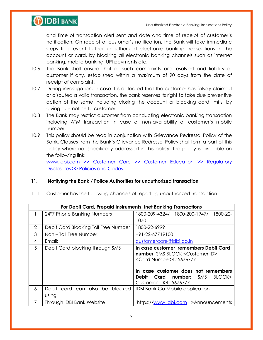

and time of transaction alert sent and date and time of receipt of customer"s notification. On receipt of customer"s notification, the Bank will take immediate steps to prevent further unauthorized electronic banking transactions in the account or card, by blocking all electronic banking channels such as internet banking, mobile banking, UPI payments etc.

- 10.6 The Bank shall ensure that all such complaints are resolved and liability of customer if any, established within a maximum of 90 days from the date of receipt of complaint.
- 10.7 During investigation, in case it is detected that the customer has falsely claimed or disputed a valid transaction, the bank reserves its right to take due preventive action of the same including closing the account or blocking card limits, by giving due notice to customer.
- 10.8 The Bank may restrict customer from conducting electronic banking transaction including ATM transaction in case of non-availability of customer"s mobile number.
- 10.9 This policy should be read in conjunction with Grievance Redressal Policy of the Bank. Clauses from the Bank"s Grievance Redressal Policy shall form a part of this policy where not specifically addressed in this policy. The policy is available on the following link:

[www.idbi.com](http://www.idbi.com/) >> Customer Care >> Customer Education >> Regulatory Disclosures >> Policies and Codes.

### **11. Notifying the Bank / Police Authorities for unauthorized transaction**

11.1 Customer has the following channels of reporting unauthorized transaction:

|   | For Debit Card, Prepaid Instruments, Inet Banking Transactions |                                                                                                                                                                                                                                                |
|---|----------------------------------------------------------------|------------------------------------------------------------------------------------------------------------------------------------------------------------------------------------------------------------------------------------------------|
|   | 24*7 Phone Banking Numbers                                     | 1800-209-4324/ 1800-200-1947/ 1800-22-                                                                                                                                                                                                         |
|   |                                                                | 1070                                                                                                                                                                                                                                           |
| 2 | Debit Card Blocking Toll Free Number                           | 1800-22-6999                                                                                                                                                                                                                                   |
| 3 | Non-Toll Free Number:                                          | +91-22-67719100                                                                                                                                                                                                                                |
| 4 | Email:                                                         | customercare@idbi.co.in                                                                                                                                                                                                                        |
| 5 | Debit Card blocking through SMS                                | In case customer remembers Debit Card<br><b>number:</b> SMS BLOCK < Customer ID><br><card number="">to5676777<br/>In case customer does not remembers<br/>Debit<br/>number:<br/>BLOCK&lt;<br/>Card<br/>SMS<br/>Customer-ID&gt;to5676777</card> |
| 6 | blocked<br>card can also be<br>Debit<br>using                  | <b>IDBI Bank Go Mobile application</b>                                                                                                                                                                                                         |
| 7 | Through IDBI Bank Website                                      | https://www.idbi.com >Announcements                                                                                                                                                                                                            |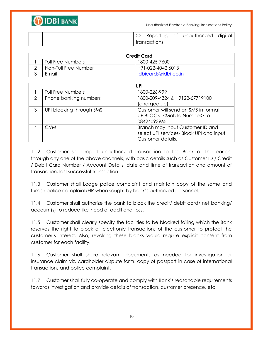

|  |              | Reporting of unauthorized digital |  |
|--|--------------|-----------------------------------|--|
|  | transactions |                                   |  |

| <b>Credit Card</b>   |                        |  |
|----------------------|------------------------|--|
| Toll Free Numbers    | 1800-425-7600          |  |
| Non-Toll Free Number | +91-022-4042 6013      |  |
| Fmail                | l idbicards@idbi.co.in |  |

|   |                          | <b>UPI</b>                                                                                        |
|---|--------------------------|---------------------------------------------------------------------------------------------------|
|   | <b>Toll Free Numbers</b> | 1800-226-999                                                                                      |
| 2 | Phone banking numbers    | 1800-209-4324 & +9122-67719100<br>(chargeable)                                                    |
| 3 | UPI blocking through SMS | Customer will send an SMS in format<br>UPIBLOCK <mobile number=""> to<br/>08424093965</mobile>    |
|   | CVM                      | Branch may input Customer ID and<br>select UPI services- Block UPI and input<br>Customer details. |

11.2 Customer shall report unauthorized transaction to the Bank at the earliest through any one of the above channels, with basic details such as Customer ID / Credit / Debit Card Number / Account Details, date and time of transaction and amount of transaction, last successful transaction.

11.3 Customer shall Lodge police complaint and maintain copy of the same and furnish police complaint/FIR when sought by bank"s authorized personnel.

11.4 Customer shall authorize the bank to block the credit/ debit card/ net banking/ account(s) to reduce likelihood of additional loss.

11.5 Customer shall clearly specify the facilities to be blocked failing which the Bank reserves the right to block all electronic transactions of the customer to protect the customer"s interest. Also, revoking these blocks would require explicit consent from customer for each facility.

11.6 Customer shall share relevant documents as needed for investigation or insurance claim viz. cardholder dispute form, copy of passport in case of international transactions and police complaint.

11.7 Customer shall fully co-operate and comply with Bank"s reasonable requirements towards investigation and provide details of transaction, customer presence, etc.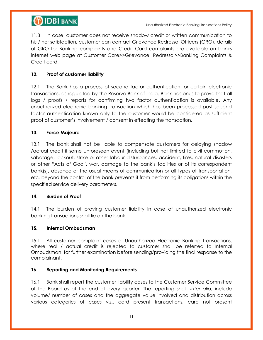

11.8 In case, customer does not receive shadow credit or written communication to his / her satisfaction, customer can contact Grievance Redressal Officers (GRO), details of GRO for Banking complaints and Credit Card complaints are available on banks internet web page at Customer Care>>Grievance Redressal>>Banking Complaints & Credit card.

#### **12. Proof of customer liability**

12.1 The Bank has a process of second factor authentication for certain electronic transactions, as regulated by the Reserve Bank of India. Bank has onus to prove that all logs / proofs / reports for confirming two factor authentication is available. Any unauthorized electronic banking transaction which has been processed post second factor authentication known only to the customer would be considered as sufficient proof of customer"s involvement / consent in effecting the transaction.

#### **13. Force Majeure**

13.1 The bank shall not be liable to compensate customers for delaying shadow /actual credit if some unforeseen event (including but not limited to civil commotion, sabotage, lockout, strike or other labour disturbances, accident, fires, natural disasters or other "Acts of God", war, damage to the bank"s facilities or of its correspondent bank(s), absence of the usual means of communication or all types of transportation, etc. beyond the control of the bank prevents it from performing its obligations within the specified service delivery parameters.

#### **14. Burden of Proof**

14.1 The burden of proving customer liability in case of unauthorized electronic banking transactions shall lie on the bank.

#### **15. Internal Ombudsman**

15.1 All customer complaint cases of Unauthorized Electronic Banking Transactions, where real / actual credit is rejected to customer shall be referred to Internal Ombudsman, for further examination before sending/providing the final response to the complainant.

#### **16. Reporting and Monitoring Requirements**

16.1 Bank shall report the customer liability cases to the Customer Service Committee of the Board as at the end of every quarter. The reporting shall, *inter alia*, include volume/ number of cases and the aggregate value involved and distribution across various categories of cases viz., card present transactions, card not present